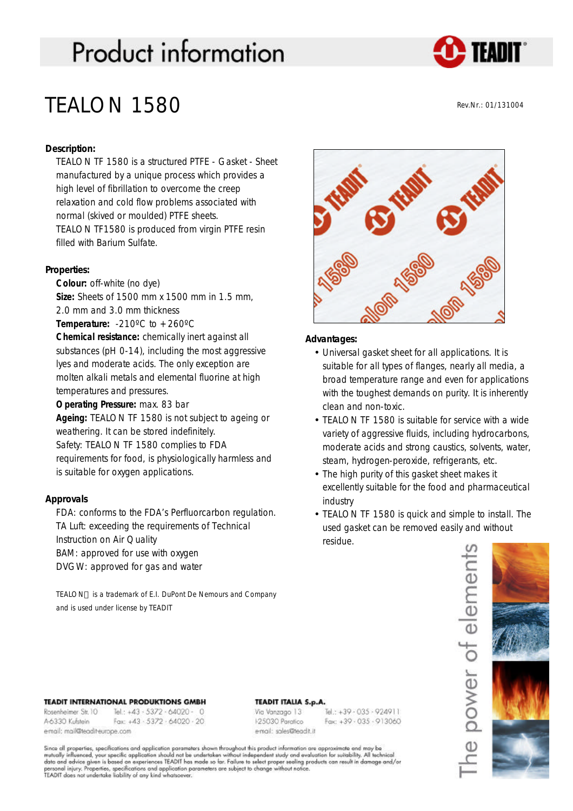# **Product information**



# TEALON 1580

Rev.Nr.: 01/131004

# **Description:**

TEALON TF 1580 is a structured PTFE - Gasket - Sheet manufactured by a unique process which provides a high level of fibrillation to overcome the creep relaxation and cold flow problems associated with normal (skived or moulded) PTFE sheets. TEALON TF1580 is produced from virgin PTFE resin filled with Barium Sulfate.

## **Properties:**

**Colour:** off-white (no dye) **Size:** Sheets of 1500 mm x 1500 mm in 1.5 mm, 2.0 mm and 3.0 mm thickness

**Temperature:**  $-210^{\circ}$ C to  $+260^{\circ}$ C

**Chemical resistance:** chemically inert against all substances (pH 0-14), including the most aggressive lyes and moderate acids. The only exception are molten alkali metals and elemental fluorine at high temperatures and pressures.

**Operating Pressure:** max. 83 bar

**Ageing:** TEALON TF 1580 is not subject to ageing or weathering. It can be stored indefinitely.

Safety: TEALON TF 1580 complies to FDA

requirements for food, is physiologically harmless and is suitable for oxygen applications.

# **Approvals**

FDA: conforms to the FDA's Perfluorcarbon regulation. TA Luft: exceeding the requirements of Technical Instruction on Air Quality BAM: approved for use with oxygen DVGW: approved for gas and water

TEALON™ is a trademark of E.I. DuPont De Nemours and Company and is used under license by TEADIT



### **Advantages:**

- Universal gasket sheet for all applications. It is suitable for all types of flanges, nearly all media, a broad temperature range and even for applications with the toughest demands on purity. It is inherently clean and non-toxic.
- TEALON TF 1580 is suitable for service with a wide variety of aggressive fluids, including hydrocarbons, moderate acids and strong caustics, solvents, water, steam, hydrogen-peroxide, refrigerants, etc.
- The high purity of this gasket sheet makes it excellently suitable for the food and pharmaceutical industry
- TEALON TF 1580 is quick and simple to install. The used gasket can be removed easily and without residue.



#### **TEADIT INTERNATIONAL PRODUKTIONS GMBH**

Rosenheimer Str. 10 Tel.: +43 - 5372 - 64020 - 0 A-6330 Kufstein Fax: +43 - 5372 - 64020 - 20 email: mail@teadit-europe.com

#### **TEADIT ITALIA S.p.A.**

Via Vanzago 13 125030 Paratico email: sales@teadit.it

Tel.: +39 - 035 - 924911  $Fax: +39.035.913060$ 

Since all properties, specifications and application parameters shown throughout this product information are approximate and may be<br>mutually influenced, your specific application should not be undertaken without independe